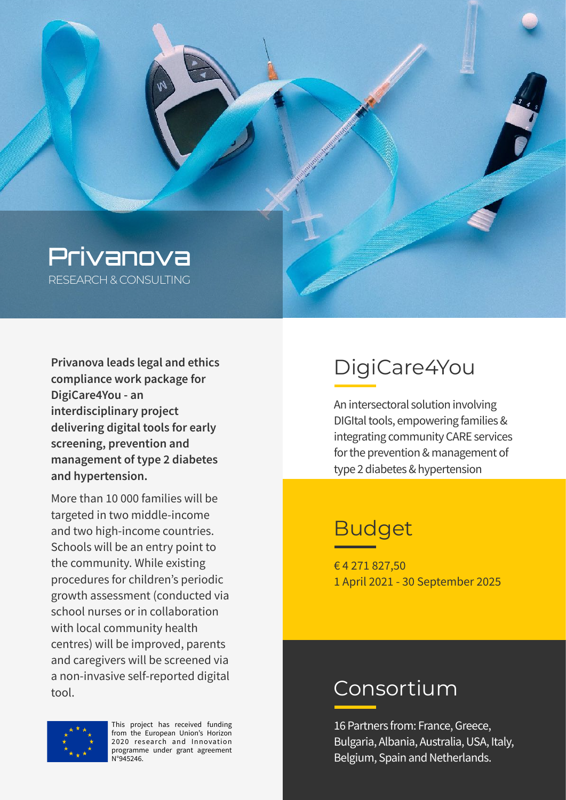

**Privanova leads legal and ethics compliance work package for DigiCare4You - an interdisciplinary project delivering digital tools for early screening, prevention and management of type 2 diabetes and hypertension.** 

More than 10 000 families will be targeted in two middle-income and two high-income countries. Schools will be an entry point to the community. While existing procedures for children's periodic growth assessment (conducted via school nurses or in collaboration with local community health centres) will be improved, parents and caregivers will be screened via a non-invasive self-reported digital tool.

# DigiCare4You

An intersectoral solution involving DIGItal tools, empowering families & integrating community CARE services for the prevention & management of type 2 diabetes & hypertension

## Budget

€ 4 271 827,50 1 April 2021 - 30 September 2025

#### Consortium

16 Partners from: France, Greece, Bulgaria, Albania, Australia, USA, Italy, Belgium, Spain and Netherlands.



This project has received funding from the European Union's Horizon 2020 research and Innovation programme under grant agreement N°945246.